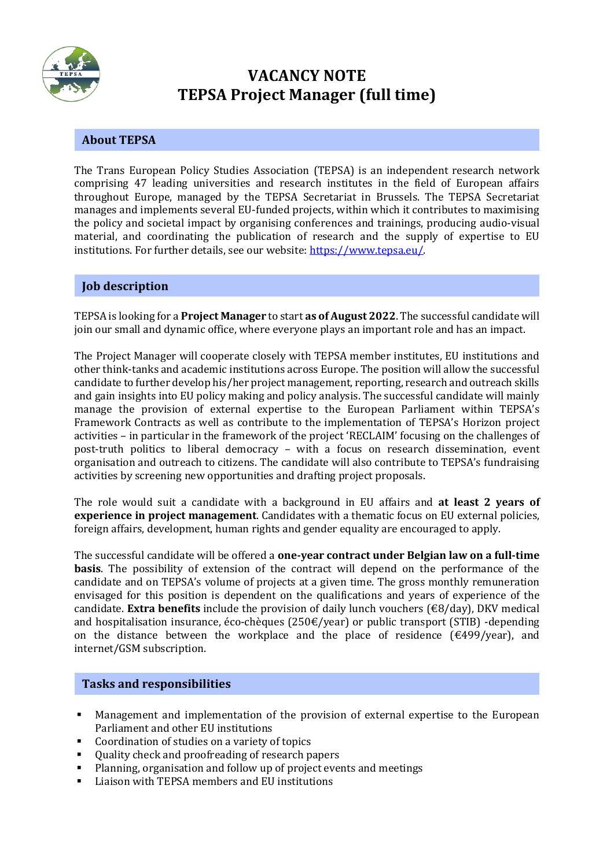

# **VACANCY NOTE TEPSA Project Manager (full time)**

## **About TEPSA**

The Trans European Policy Studies Association (TEPSA) is an independent research network comprising 47 leading universities and research institutes in the field of European affairs throughout Europe, managed by the TEPSA Secretariat in Brussels. The TEPSA Secretariat manages and implements several EU-funded projects, within which it contributes to maximising the policy and societal impact by organising conferences and trainings, producing audio-visual material, and coordinating the publication of research and the supply of expertise to EU institutions. For further details, see our website[: https://www.tepsa.eu/.](https://www.tepsa.eu/)

### **Job description**

TEPSA is looking for a **Project Manager** to start **as of August 2022**. The successful candidate will join our small and dynamic office, where everyone plays an important role and has an impact.

The Project Manager will cooperate closely with TEPSA member institutes, EU institutions and other think-tanks and academic institutions across Europe. The position will allow the successful candidate to further develop his/her project management, reporting, research and outreach skills and gain insights into EU policy making and policy analysis. The successful candidate will mainly manage the provision of external expertise to the European Parliament within TEPSA's Framework Contracts as well as contribute to the implementation of TEPSA's Horizon project activities – in particular in the framework of the project 'RECLAIM' focusing on the challenges of post-truth politics to liberal democracy – with a focus on research dissemination, event organisation and outreach to citizens. The candidate will also contribute to TEPSA's fundraising activities by screening new opportunities and drafting project proposals.

The role would suit a candidate with a background in EU affairs and **at least 2 years of experience in project management**. Candidates with a thematic focus on EU external policies, foreign affairs, development, human rights and gender equality are encouraged to apply.

The successful candidate will be offered a **one-year contract under Belgian law on a full-time basis**. The possibility of extension of the contract will depend on the performance of the candidate and on TEPSA's volume of projects at a given time. The gross monthly remuneration envisaged for this position is dependent on the qualifications and years of experience of the candidate. **Extra benefits** include the provision of daily lunch vouchers (€8/day), DKV medical and hospitalisation insurance, éco-chèques (250 $\epsilon$ /year) or public transport (STIB) -depending on the distance between the workplace and the place of residence  $(\text{\textsterling}499/year)$ , and internet/GSM subscription.

### **Tasks and responsibilities**

- Management and implementation of the provision of external expertise to the European Parliament and other EU institutions
- Coordination of studies on a variety of topics
- Quality check and proofreading of research papers
- Planning, organisation and follow up of project events and meetings
- Liaison with TEPSA members and EU institutions